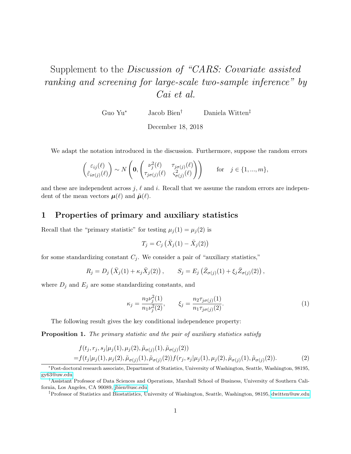## Supplement to the Discussion of "CARS: Covariate assisted ranking and screening for large-scale two-sample inference" by Cai et al.

Guo Yu<sup>∗</sup> Jacob Bien† Daniela Witten‡

December 18, 2018

We adapt the notation introduced in the discussion. Furthermore, suppose the random errors

$$
\begin{pmatrix} \varepsilon_{ij}(\ell) \\ \tilde{\varepsilon}_{i\sigma(j)}(\ell) \end{pmatrix} \sim N \begin{pmatrix} \mathbf{0}, \begin{pmatrix} \nu_j^2(\ell) & \tau_{j\sigma(j)}(\ell) \\ \tau_{j\sigma(j)}(\ell) & \zeta_{\sigma(j)}^2(\ell) \end{pmatrix} \end{pmatrix} \quad \text{for} \quad j \in \{1, ..., m\},
$$

and these are independent across j,  $\ell$  and i. Recall that we assume the random errors are independent of the mean vectors  $\boldsymbol{\mu}(\ell)$  and  $\tilde{\boldsymbol{\mu}}(\ell)$ .

## 1 Properties of primary and auxiliary statistics

Recall that the "primary statistic" for testing  $\mu_j(1) = \mu_j(2)$  is

<span id="page-0-0"></span>
$$
T_j = C_j \left( \bar{X}_j(1) - \bar{X}_j(2) \right)
$$

for some standardizing constant  $C_j$ . We consider a pair of "auxiliary statistics,"

$$
R_j = D_j (\bar{X}_j(1) + \kappa_j \bar{X}_j(2)), \qquad S_j = E_j (\bar{Z}_{\sigma(j)}(1) + \xi_j \bar{Z}_{\sigma(j)}(2)),
$$

where  $D_j$  and  $E_j$  are some standardizing constants, and

<span id="page-0-1"></span>
$$
\kappa_j = \frac{n_2 \nu_j^2(1)}{n_1 \nu_j^2(2)}, \qquad \xi_j = \frac{n_2 \tau_{j\sigma(j)}(1)}{n_1 \tau_{j\sigma(j)}(2)}.
$$
\n(1)

The following result gives the key conditional independence property:

**Proposition 1.** The primary statistic and the pair of auxiliary statistics satisfy

$$
f(t_j, r_j, s_j | \mu_j(1), \mu_j(2), \tilde{\mu}_{\sigma(j)}(1), \tilde{\mu}_{\sigma(j)}(2))
$$
  
=  $f(t_j | \mu_j(1), \mu_j(2), \tilde{\mu}_{\sigma(j)}(1), \tilde{\mu}_{\sigma(j)}(2)) f(r_j, s_j | \mu_j(1), \mu_j(2), \tilde{\mu}_{\sigma(j)}(1), \tilde{\mu}_{\sigma(j)}(2)).$  (2)

<sup>∗</sup>Post-doctoral research associate, Department of Statistics, University of Washington, Seattle, Washington, 98195, [gy63@uw.edu](mailto:gy63@uw.edu)

<sup>†</sup>Assistant Professor of Data Sciences and Operations, Marshall School of Business, University of Southern California, Los Angeles, CA 90089, [jbien@usc.edu](mailto:jbien@usc.edu)

<sup>‡</sup>Professor of Statistics and Biostatistics, University of Washington, Seattle, Washington, 98195, [dwitten@uw.edu](mailto:dwitten@uw.edu)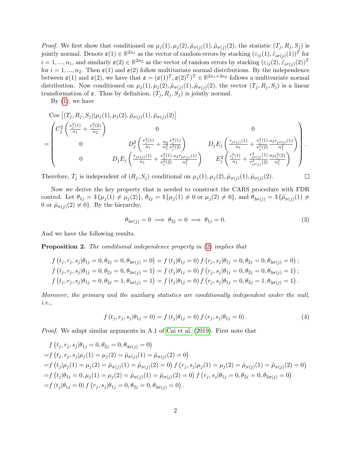*Proof.* We first show that conditioned on  $\mu_j(1), \mu_j(2), \tilde{\mu}_{\sigma(j)}(1), \tilde{\mu}_{\sigma(j)}(2)$ , the statistic  $(T_j, R_j, S_j)$  is jointly normal. Denote  $\boldsymbol{\varepsilon}(1) \in \mathbb{R}^{2n_1}$  as the vector of random errors by stacking  $(\varepsilon_{ij}(1), \tilde{\varepsilon}_{i\sigma(j)}(1))^T$  for  $i = 1, ..., n_1$ , and similarly  $\varepsilon(2) \in \mathbb{R}^{2n_2}$  as the vector of random errors by stacking  $(\varepsilon_{ij}(2), \tilde{\varepsilon}_{i\sigma(j)}(2))^T$ for  $i = 1, ..., n_2$ . Then  $\varepsilon(1)$  and  $\varepsilon(2)$  follow multivariate normal distributions. By the independence between  $\epsilon(1)$  and  $\epsilon(2)$ , we have that  $\epsilon = (\epsilon(1)^T, \epsilon(2)^T)^T \in \mathbb{R}^{2n_1+2n_2}$  follows a multivariate normal distribution. Now conditioned on  $\mu_j(1), \mu_j(2), \tilde{\mu}_{\sigma(j)}(1), \tilde{\mu}_{\sigma(j)}(2)$ , the vector  $(T_j, R_j, S_j)$  is a linear transformation of  $\varepsilon$ . Thus by definition,  $(T_j, R_j, S_j)$  is jointly normal.

By  $(1)$ , we have

$$
\begin{split}\n&\text{Cov}\left[ (T_j, R_j, S_j) | \mu_j(1), \mu_j(2), \tilde{\mu}_{\sigma(j)}(1), \tilde{\mu}_{\sigma(j)}(2) \right] \\
&= \begin{pmatrix} C_j^2 \left( \frac{\nu_j^2(1)}{n_1} + \frac{\nu_j^2(2)}{n_2} \right) & 0 & 0 \\
0 & D_j^2 \left( \frac{\nu_j^2(1)}{n_1} + \frac{n_2}{n_1^2} \frac{\nu_j^4(1)}{\nu_j^2(2)} \right) & D_j E_j \left( \frac{\tau_{j\sigma(j)}(1)}{n_1} + \frac{\nu_j^2(1)}{\nu_j^2(2)} \frac{n_2 \tau_{j\sigma(j)}(1)}{n_1^2} \right) \\
0 & D_j E_j \left( \frac{\tau_{j\sigma(j)}(1)}{n_1} + \frac{\nu_j^2(1)}{\nu_j^2(2)} \frac{n_2 \tau_{j\sigma(j)}(1)}{n_1^2} \right) & E_j^2 \left( \frac{\varsigma_j^2(1)}{n_1} + \frac{\tau_{j\sigma(j)}^2(1)}{\tau_{j\sigma(j)}^2(2)} \frac{n_2 \varsigma_j^2(2)}{n_1^2} \right)\n\end{split}
$$

Therefore,  $T_j$  is independent of  $(R_j, S_j)$  conditional on  $\mu_j(1), \mu_j(2), \tilde{\mu}_{\sigma(j)}(1), \tilde{\mu}_{\sigma(j)}(2)$ .

Now we derive the key property that is needed to construct the CARS procedure with FDR control. Let  $\theta_{1j} = \mathbb{1}{\mu_j(1) \neq \mu_j(2)}$ ,  $\theta_{2j} = \mathbb{1}{\mu_j(1) \neq 0}$  or  $\mu_j(2) \neq 0$ , and  $\theta_{3\sigma(j)} = \mathbb{1}{\{\tilde{\mu}_{\sigma(j)}(1) \neq 0\}}$ 0 or  $\tilde{\mu}_{\sigma(j)}(2) \neq 0$ . By the hierarchy,

$$
\theta_{3\sigma(j)} = 0 \implies \theta_{2j} = 0 \implies \theta_{1j} = 0. \tag{3}
$$

<span id="page-1-0"></span> $\Box$ 

And we have the following results.

Proposition 2. The conditional independence property in [\(2\)](#page-0-1) implies that

$$
f(t_j, r_j, s_j | \theta_{1j} = 0, \theta_{2j} = 0, \theta_{3\sigma(j)} = 0) = f(t_j | \theta_{1j} = 0) f(r_j, s_j | \theta_{1j} = 0, \theta_{2j} = 0, \theta_{3\sigma(j)} = 0);
$$
  
\n
$$
f(t_j, r_j, s_j | \theta_{1j} = 0, \theta_{2j} = 0, \theta_{3\sigma(j)} = 1) = f(t_j | \theta_{1j} = 0) f(r_j, s_j | \theta_{1j} = 0, \theta_{2j} = 0, \theta_{3\sigma(j)} = 1);
$$
  
\n
$$
f(t_j, r_j, s_j | \theta_{1j} = 0, \theta_{2j} = 1, \theta_{3\sigma(j)} = 1) = f(t_j | \theta_{1j} = 0) f(r_j, s_j | \theta_{1j} = 0, \theta_{2j} = 1, \theta_{3\sigma(j)} = 1).
$$

Moreover, the primary and the auxiliary statistics are conditionally independent under the null, i.e.,

$$
f(t_j, r_j, s_j | \theta_{1j} = 0) = f(t_j | \theta_{1j} = 0) f(r_j, s_j | \theta_{1j} = 0).
$$
\n(4)

Proof. We adapt similar arguments in A.1 of [Cai et al.](#page-4-0) [\(2019\)](#page-4-0). First note that

$$
f(t_j, r_j, s_j | \theta_{1j} = 0, \theta_{2j} = 0, \theta_{3\sigma(j)} = 0)
$$
  
=  $f(t_j, r_j, s_j | \mu_j(1) = \mu_j(2) = \tilde{\mu}_{\sigma(j)}(1) = \tilde{\mu}_{\sigma(j)}(2) = 0)$   
=  $f(t_j | \mu_j(1) = \mu_j(2) = \tilde{\mu}_{\sigma(j)}(1) = \tilde{\mu}_{\sigma(j)}(2) = 0) f(r_j, s_j | \mu_j(1) = \mu_j(2) = \tilde{\mu}_{\sigma(j)}(1) = \tilde{\mu}_{\sigma(j)}(2) = 0)$   
=  $f(t_j | \theta_{1j} = 0, \mu_j(1) = \mu_j(2) = \tilde{\mu}_{\sigma(j)}(1) = \tilde{\mu}_{\sigma(j)}(2) = 0) f(r_j, s_j | \theta_{1j} = 0, \theta_{2j} = 0, \theta_{3\sigma(j)} = 0)$   
=  $f(t_j | \theta_{1j} = 0) f(r_j, s_j | \theta_{1j} = 0, \theta_{2j} = 0, \theta_{3\sigma(j)} = 0).$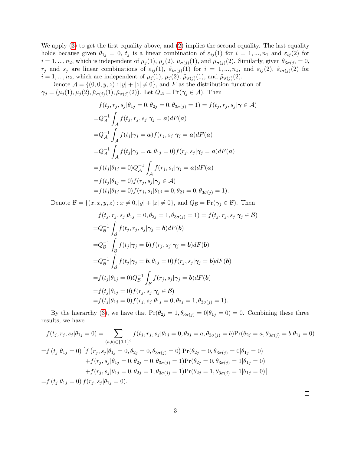We apply [\(3\)](#page-1-0) to get the first equality above, and [\(2\)](#page-0-1) implies the second equality. The last equality holds because given  $\theta_{1j} = 0$ ,  $t_j$  is a linear combination of  $\varepsilon_{ij}(1)$  for  $i = 1, ..., n_1$  and  $\varepsilon_{ij}(2)$  for  $i = 1, ..., n_2$ , which is independent of  $\mu_j(1), \mu_j(2), \tilde{\mu}_{\sigma(j)}(1),$  and  $\tilde{\mu}_{\sigma(j)}(2)$ . Similarly, given  $\theta_{3\sigma(j)} = 0$ ,  $r_j$  and  $s_j$  are linear combinations of  $\varepsilon_{ij}(1)$ ,  $\tilde{\varepsilon}_{i\sigma(j)}(1)$  for  $i = 1, ..., n_1$ , and  $\varepsilon_{ij}(2)$ ,  $\tilde{\varepsilon}_{i\sigma(j)}(2)$  for  $i = 1, ..., n_2$ , which are independent of  $\mu_j(1), \mu_j(2), \tilde{\mu}_{\sigma(j)}(1)$ , and  $\tilde{\mu}_{\sigma(j)}(2)$ .

Denote  $\mathcal{A} = \{(0,0,y,z): |y| + |z| \neq 0\}$ , and F as the distribution function of  $\gamma_j = (\mu_j(1), \mu_j(2), \tilde{\mu}_{\sigma(j)}(1), \tilde{\mu}_{\sigma(j)}(2))$ . Let  $Q_{\mathcal{A}} = \Pr(\gamma_j \in \mathcal{A})$ . Then

$$
f(t_j, r_j, s_j | \theta_{1j} = 0, \theta_{2j} = 0, \theta_{3\sigma(j)} = 1) = f(t_j, r_j, s_j | \gamma \in A)
$$
  
\n
$$
= Q_A^{-1} \int_A f(t_j, r_j, s_j | \gamma_j = a) dF(a)
$$
  
\n
$$
= Q_A^{-1} \int_A f(t_j | \gamma_j = a) f(r_j, s_j | \gamma_j = a) dF(a)
$$
  
\n
$$
= Q_A^{-1} \int_A f(t_j | \gamma_j = a, \theta_{1j} = 0) f(r_j, s_j | \gamma_j = a) dF(a)
$$
  
\n
$$
= f(t_j | \theta_{1j} = 0) Q_A^{-1} \int_A f(r_j, s_j | \gamma_j = a) dF(a)
$$
  
\n
$$
= f(t_j | \theta_{1j} = 0) f(r_j, s_j | \gamma_j \in A)
$$
  
\n
$$
= f(t_j | \theta_{1j} = 0) f(r_j, s_j | \theta_{1j} = 0, \theta_{2j} = 0, \theta_{3\sigma(j)} = 1).
$$

Denote  $\mathcal{B} = \{(x, x, y, z) : x \neq 0, |y| + |z| \neq 0\}$ , and  $Q_{\mathcal{B}} = \text{Pr}(\gamma_j \in \mathcal{B})$ . Then

$$
f(t_j, r_j, s_j | \theta_{1j} = 0, \theta_{2j} = 1, \theta_{3\sigma(j)} = 1) = f(t_j, r_j, s_j | \gamma_j \in \mathcal{B})
$$
  
\n
$$
= Q_B^{-1} \int_{\mathcal{B}} f(t_j, r_j, s_j | \gamma_j = \mathbf{b}) dF(\mathbf{b})
$$
  
\n
$$
= Q_B^{-1} \int_{\mathcal{B}} f(t_j | \gamma_j = \mathbf{b}) f(r_j, s_j | \gamma_j = \mathbf{b}) dF(\mathbf{b})
$$
  
\n
$$
= Q_B^{-1} \int_{\mathcal{B}} f(t_j | \gamma_j = \mathbf{b}, \theta_{1j} = 0) f(r_j, s_j | \gamma_j = \mathbf{b}) dF(\mathbf{b})
$$
  
\n
$$
= f(t_j | \theta_{1j} = 0) Q_B^{-1} \int_{\mathcal{B}} f(r_j, s_j | \gamma_j = \mathbf{b}) dF(\mathbf{b})
$$
  
\n
$$
= f(t_j | \theta_{1j} = 0) f(r_j, s_j | \gamma_j \in \mathcal{B})
$$
  
\n
$$
= f(t_j | \theta_{1j} = 0) f(r_j, s_j | \theta_{1j} = 0, \theta_{2j} = 1, \theta_{3\sigma(j)} = 1).
$$

By the hierarchy [\(3\)](#page-1-0), we have that  $Pr(\theta_{2j} = 1, \theta_{3\sigma(j)} = 0 | \theta_{1j} = 0) = 0$ . Combining these three results, we have

$$
f(t_j, r_j, s_j | \theta_{1j} = 0) = \sum_{(a,b) \in \{0,1\}^2} f(t_j, r_j, s_j | \theta_{1j} = 0, \theta_{2j} = a, \theta_{3\sigma(j)} = b) \Pr(\theta_{2j} = a, \theta_{3\sigma(j)} = b | \theta_{1j} = 0)
$$
  
=  $f(t_j | \theta_{1j} = 0) \left[ f(r_j, s_j | \theta_{1j} = 0, \theta_{2j} = 0, \theta_{3\sigma(j)} = 0) \Pr(\theta_{2j} = 0, \theta_{3\sigma(j)} = 0 | \theta_{1j} = 0) + f(r_j, s_j | \theta_{1j} = 0, \theta_{2j} = 0, \theta_{3\sigma(j)} = 1) \Pr(\theta_{2j} = 0, \theta_{3\sigma(j)} = 1 | \theta_{1j} = 0) + f(r_j, s_j | \theta_{1j} = 0, \theta_{2j} = 1, \theta_{3\sigma(j)} = 1) \Pr(\theta_{2j} = 1, \theta_{3\sigma(j)} = 1 | \theta_{1j} = 0) \right]$   
=  $f(t_j | \theta_{1j} = 0) f(r_j, s_j | \theta_{1j} = 0).$ 

 $\Box$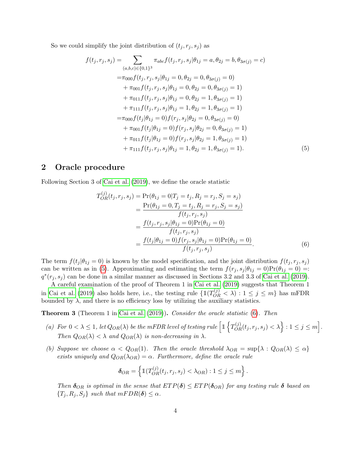So we could simplify the joint distribution of  $(t_j, r_j, s_j)$  as

$$
f(t_j, r_j, s_j) = \sum_{(a,b,c) \in \{0,1\}^3} \pi_{abc} f(t_j, r_j, s_j | \theta_{1j} = a, \theta_{2j} = b, \theta_{3\sigma(j)} = c)
$$
  
\n
$$
= \pi_{000} f(t_j, r_j, s_j | \theta_{1j} = 0, \theta_{2j} = 0, \theta_{3\sigma(j)} = 0)
$$
  
\n
$$
+ \pi_{001} f(t_j, r_j, s_j | \theta_{1j} = 0, \theta_{2j} = 0, \theta_{3\sigma(j)} = 1)
$$
  
\n
$$
+ \pi_{011} f(t_j, r_j, s_j | \theta_{1j} = 0, \theta_{2j} = 1, \theta_{3\sigma(j)} = 1)
$$
  
\n
$$
+ \pi_{111} f(t_j, r_j, s_j | \theta_{1j} = 1, \theta_{2j} = 1, \theta_{3\sigma(j)} = 1)
$$
  
\n
$$
= \pi_{000} f(t_j | \theta_{1j} = 0) f(r_j, s_j | \theta_{2j} = 0, \theta_{3\sigma(j)} = 0)
$$
  
\n
$$
+ \pi_{001} f(t_j | \theta_{1j} = 0) f(r_j, s_j | \theta_{2j} = 0, \theta_{3\sigma(j)} = 1)
$$
  
\n
$$
+ \pi_{011} f(t_j | \theta_{1j} = 0) f(r_j, s_j | \theta_{2j} = 1, \theta_{3\sigma(j)} = 1)
$$
  
\n
$$
+ \pi_{111} f(t_j, r_j, s_j | \theta_{1j} = 1, \theta_{2j} = 1, \theta_{3\sigma(j)} = 1).
$$
  
\n(5)

## 2 Oracle procedure

<span id="page-3-1"></span><span id="page-3-0"></span> $\lambda$ 

Following Section 3 of [Cai et al.](#page-4-0) [\(2019\)](#page-4-0), we define the oracle statistic

$$
T_{OR}^{(j)}(t_j, r_j, s_j) = \Pr(\theta_{1j} = 0 | T_j = t_j, R_j = r_j, S_j = s_j)
$$
  
= 
$$
\frac{\Pr(\theta_{1j} = 0, T_j = t_j, R_j = r_j, S_j = s_j)}{f(t_j, r_j, s_j)}
$$
  
= 
$$
\frac{f(t_j, r_j, s_j | \theta_{1j} = 0) \Pr(\theta_{1j} = 0)}{f(t_j, r_j, s_j)}
$$
  
= 
$$
\frac{f(t_j | \theta_{1j} = 0) f(r_j, s_j | \theta_{1j} = 0) \Pr(\theta_{1j} = 0)}{f(t_j, r_j, s_j)}.
$$
 (6)

The term  $f(t_j | \theta_{1j} = 0)$  is known by the model specification, and the joint distribution  $f(t_j, r_j, s_j)$ can be written as in [\(5\)](#page-3-0). Approximating and estimating the term  $f(r_j, s_j | \theta_{1j} = 0)Pr(\theta_{1j} = 0)$  =:  $q^*(r_j, s_j)$  can be done in a similar manner as discussed in Sections 3.2 and 3.3 of [Cai et al.](#page-4-0) [\(2019\)](#page-4-0).

A careful examination of the proof of Theorem 1 in [Cai et al.](#page-4-0) [\(2019\)](#page-4-0) suggests that Theorem 1 in [Cai et al.](#page-4-0) [\(2019\)](#page-4-0) also holds here, i.e., the testing rule  $\{\mathbb{1}(T_{OR}^{(j)} < \lambda) : 1 \leq j \leq m\}$  has mFDR bounded by  $\lambda$ , and there is no efficiency loss by utilizing the auxiliary statistics.

<span id="page-3-2"></span>Theorem 3 (Theorem 1 in [Cai et al.](#page-4-0) [\(2019\)](#page-4-0)). Consider the oracle statistic [\(6\)](#page-3-1). Then

- (a) For  $0 < \lambda \leq 1$ , let  $Q_{OR}(\lambda)$  be the mFDR level of testing rule  $\left[ \mathbb{1} \left\{ T_{OR}^{(j)}(t_j, r_j, s_j) < \lambda \right\} : 1 \leq j \leq m \right]$ . Then  $Q_{OR}(\lambda) < \lambda$  and  $Q_{OR}(\lambda)$  is non-decreasing in  $\lambda$ .
- (b) Suppose we choose  $\alpha < Q_{OR}(1)$ . Then the oracle threshold  $\lambda_{OR} = \sup{\{\lambda : Q_{OR}(\lambda) \leq \alpha\}}$ exists uniquely and  $Q_{OR}(\lambda_{OR}) = \alpha$ . Furthermore, define the oracle rule

$$
\delta_{OR} = \left\{ \mathbb{1}(T_{OR}^{(j)}(t_j,r_j,s_j) < \lambda_{OR}) : 1 \leq j \leq m \right\}.
$$

Then  $\delta_{OR}$  is optimal in the sense that  $ETP(\delta) \leq ETP(\delta_{OR})$  for any testing rule  $\delta$  based on  $\{T_j, R_j, S_j\}$  such that  $mFDR(\delta) \leq \alpha$ .